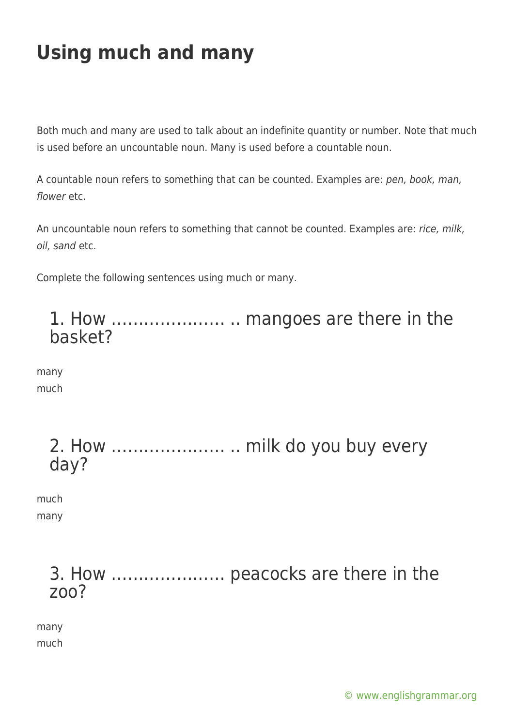Both much and many are used to talk about an indefinite quantity or number. Note that much is used before an uncountable noun. Many is used before a countable noun.

A countable noun refers to something that can be counted. Examples are: pen, book, man, flower etc.

An uncountable noun refers to something that cannot be counted. Examples are: rice, milk, oil, sand etc.

Complete the following sentences using much or many.



many much

| day? |  |  |  |
|------|--|--|--|

much many

#### 3. How ………………… peacocks are there in the zoo?

many much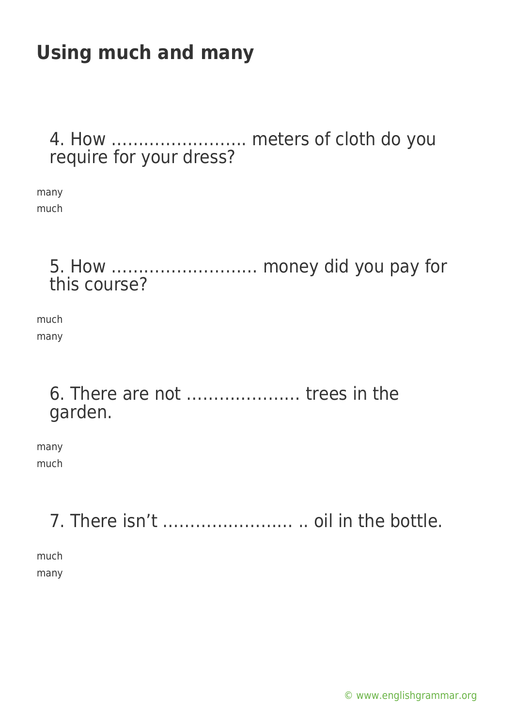#### 4. How ……………………. meters of cloth do you require for your dress?

many much

#### 5. How ……………………… money did you pay for this course?

much many

#### 6. There are not ………………… trees in the garden.

many much

### 7. There isn't …………………… .. oil in the bottle.

much many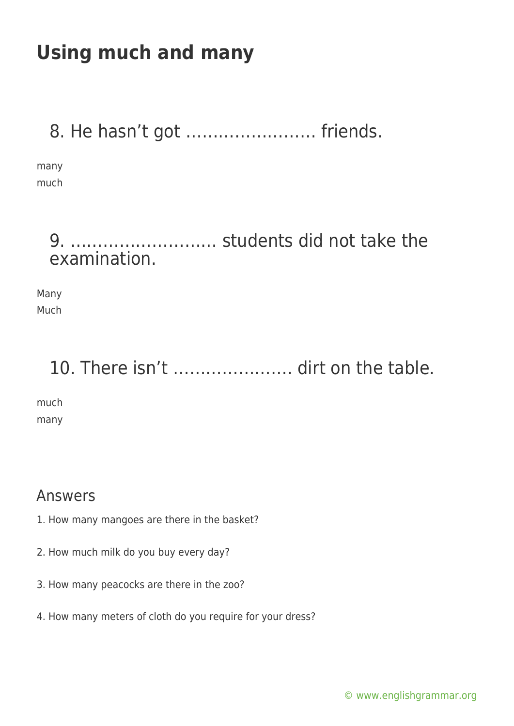### 8. He hasn't got …………………… friends.

many much

#### 9. ……………………… students did not take the examination.

Many Much

## 10. There isn't ........................ dirt on the table.

much many

#### Answers

- 1. How many mangoes are there in the basket?
- 2. How much milk do you buy every day?
- 3. How many peacocks are there in the zoo?
- 4. How many meters of cloth do you require for your dress?